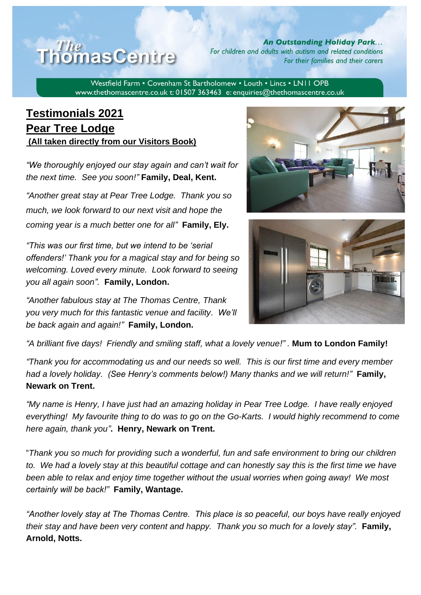

**An Outstanding Holiday Park...** For children and adults with autism and related conditions For their families and their carers

Westfield Farm • Covenham St Bartholomew • Louth • Lincs • LN11 OPB www.thethomascentre.co.uk t: 01507 363463 e: enquiries@thethomascentre.co.uk

## **Testimonials 2021 Pear Tree Lodge (All taken directly from our Visitors Book)**

*"We thoroughly enjoyed our stay again and can't wait for the next time. See you soon!"* **Family, Deal, Kent.**

*"Another great stay at Pear Tree Lodge. Thank you so much, we look forward to our next visit and hope the coming year is a much better one for all"* **Family, Ely.**

*"This was our first time, but we intend to be 'serial offenders!' Thank you for a magical stay and for being so welcoming. Loved every minute. Look forward to seeing you all again soon".* **Family, London.**

*"Another fabulous stay at The Thomas Centre, Thank you very much for this fantastic venue and facility. We'll be back again and again!"* **Family, London.**





*"A brilliant five days! Friendly and smiling staff, what a lovely venue!" .* **Mum to London Family!**

*"Thank you for accommodating us and our needs so well. This is our first time and every member had a lovely holiday. (See Henry's comments below!) Many thanks and we will return!"* **Family, Newark on Trent.**

*"My name is Henry, I have just had an amazing holiday in Pear Tree Lodge. I have really enjoyed everything! My favourite thing to do was to go on the Go-Karts. I would highly recommend to come here again, thank you"***. Henry, Newark on Trent.**

"*Thank you so much for providing such a wonderful, fun and safe environment to bring our children to. We had a lovely stay at this beautiful cottage and can honestly say this is the first time we have been able to relax and enjoy time together without the usual worries when going away! We most certainly will be back!"* **Family, Wantage.**

*"Another lovely stay at The Thomas Centre. This place is so peaceful, our boys have really enjoyed their stay and have been very content and happy. Thank you so much for a lovely stay".* **Family, Arnold, Notts.**